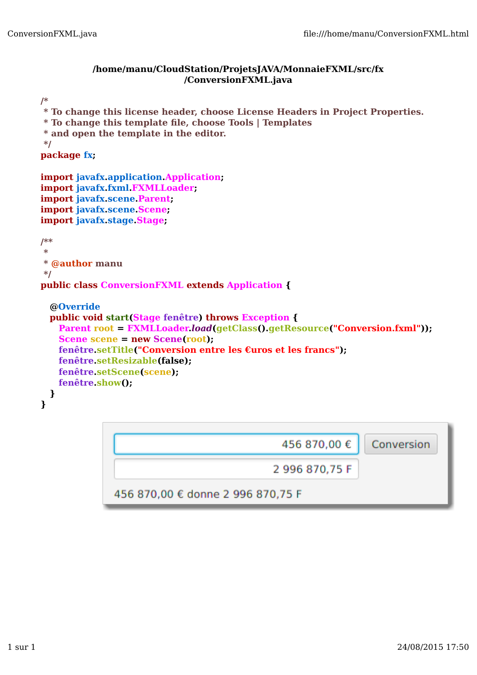## **/home/manu/CloudStation/ProjetsJAVA/MonnaieFXML/src/fx /ConversionFXML.java**

```
/*
 * To change this license header, choose License Headers in Project Properties.
 * To change this template file, choose Tools | Templates
 * and open the template in the editor.
 */
package fx;
import javafx.application.Application;
import javafx.fxml.FXMLLoader;
import javafx.scene.Parent;
import javafx.scene.Scene;
import javafx.stage.Stage;
/**
 *
 * @author manu
*/
public class ConversionFXML extends Application {
  @Override
 public void start(Stage fenêtre) throws Exception {
   Parent root = FXMLLoader.load(getClass().getResource("Conversion.fxml")); 
   Scene scene = new Scene(root);
   fenêtre.setTitle("Conversion entre les €uros et les francs");
   fenêtre.setResizable(false);
   fenêtre.setScene(scene);
   fenêtre.show();
  }
}
                                                 456 870.00 €
                                                                    Conversion
                                               2996870.75F
               456 870,00 € donne 2 996 870,75 F
```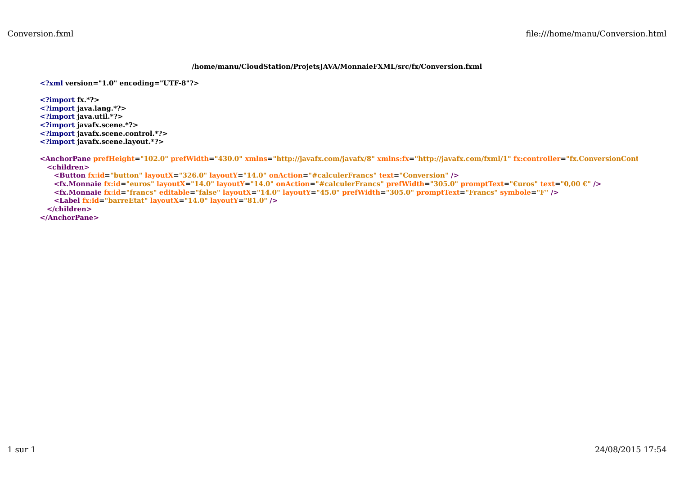## **/home/manu/CloudStation/ProjetsJAVA/MonnaieFXML/src/fx/Conversion.fxml**

**<?xml version="1.0" encoding="UTF-8"?>**

**<?import fx.\*?>**

- **<?import java.lang.\*?>**
- **<?import java.util.\*?>**
- **<?import javafx.scene.\*?>**

**<?import javafx.scene.control.\*?>**

**<?import javafx.scene.layout.\*?>**

**<AnchorPane prefHeight="102.0" prefWidth="430.0" xmlns="http://javafx.com/javafx/8" xmlns:fx="http://javafx.com/fxml/1" fx:controller="fx.ConversionController" <children> <Button fx:id="button" layoutX="326.0" layoutY="14.0" onAction="#calculerFrancs" text="Conversion" /> <fx.Monnaie fx:id="euros" layoutX="14.0" layoutY="14.0" onAction="#calculerFrancs" prefWidth="305.0" promptText="€uros" text="0,00 €" /> <fx.Monnaie fx:id="francs" editable="false" layoutX="14.0" layoutY="45.0" prefWidth="305.0" promptText="Francs" symbole="F" /> <Label fx:id="barreEtat" layoutX="14.0" layoutY="81.0" /> </children> </AnchorPane>**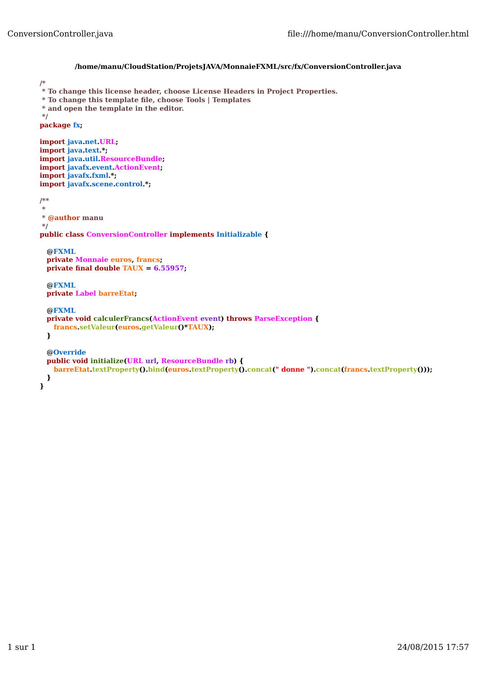```
/home/manu/CloudStation/ProjetsJAVA/MonnaieFXML/src/fx/ConversionController.java
/*
 * To change this license header, choose License Headers in Project Properties.
 * To change this template file, choose Tools | Templates
 * and open the template in the editor.
 */
package fx;
import java.net.URL;
import java.text.*;
import java.util.ResourceBundle;
import javafx.event.ActionEvent;
import javafx.fxml.*;
import javafx.scene.control.*;
/**
 *
 * @author manu
*/
public class ConversionController implements Initializable {
  @FXML
 private Monnaie euros, francs;
 private final double TAUX = 6.55957;
  @FXML
 private Label barreEtat;
  @FXML
 private void calculerFrancs(ActionEvent event) throws ParseException {
   francs.setValeur(euros.getValeur()*TAUX);
  }
  @Override
 public void initialize(URL url, ResourceBundle rb) {
   barreEtat.textProperty().bind(euros.textProperty().concat(" donne ").concat(francs.textProperty()));
  } 
}
```